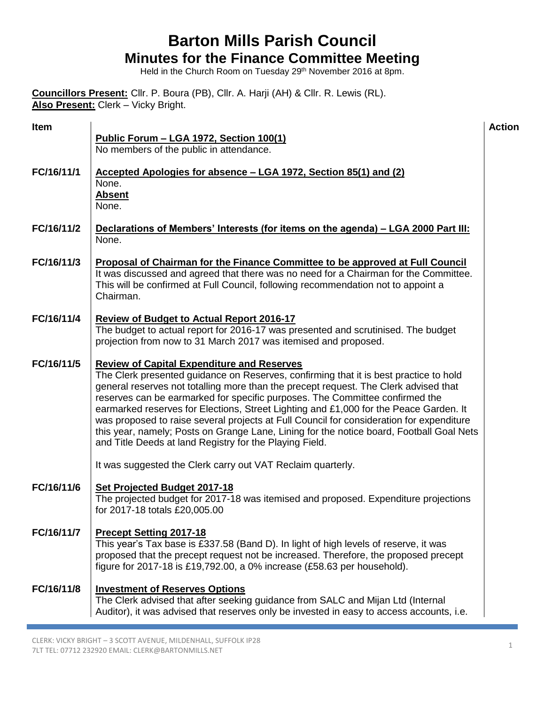### **Barton Mills Parish Council Minutes for the Finance Committee Meeting**

Held in the Church Room on Tuesday 29<sup>th</sup> November 2016 at 8pm.

**Councillors Present:** Cllr. P. Boura (PB), Cllr. A. Harji (AH) & Cllr. R. Lewis (RL). **Also Present:** Clerk – Vicky Bright.

| <b>Item</b> | Public Forum - LGA 1972, Section 100(1)<br>No members of the public in attendance.                                                                                                                                                                                                                                                                                                                                                                                                                                                                                                                                                                             | <b>Action</b> |
|-------------|----------------------------------------------------------------------------------------------------------------------------------------------------------------------------------------------------------------------------------------------------------------------------------------------------------------------------------------------------------------------------------------------------------------------------------------------------------------------------------------------------------------------------------------------------------------------------------------------------------------------------------------------------------------|---------------|
| FC/16/11/1  | Accepted Apologies for absence - LGA 1972, Section 85(1) and (2)<br>None.<br><b>Absent</b><br>None.                                                                                                                                                                                                                                                                                                                                                                                                                                                                                                                                                            |               |
| FC/16/11/2  | Declarations of Members' Interests (for items on the agenda) – LGA 2000 Part III:<br>None.                                                                                                                                                                                                                                                                                                                                                                                                                                                                                                                                                                     |               |
| FC/16/11/3  | Proposal of Chairman for the Finance Committee to be approved at Full Council<br>It was discussed and agreed that there was no need for a Chairman for the Committee.<br>This will be confirmed at Full Council, following recommendation not to appoint a<br>Chairman.                                                                                                                                                                                                                                                                                                                                                                                        |               |
| FC/16/11/4  | <b>Review of Budget to Actual Report 2016-17</b><br>The budget to actual report for 2016-17 was presented and scrutinised. The budget<br>projection from now to 31 March 2017 was itemised and proposed.                                                                                                                                                                                                                                                                                                                                                                                                                                                       |               |
| FC/16/11/5  | <b>Review of Capital Expenditure and Reserves</b><br>The Clerk presented guidance on Reserves, confirming that it is best practice to hold<br>general reserves not totalling more than the precept request. The Clerk advised that<br>reserves can be earmarked for specific purposes. The Committee confirmed the<br>earmarked reserves for Elections, Street Lighting and £1,000 for the Peace Garden. It<br>was proposed to raise several projects at Full Council for consideration for expenditure<br>this year, namely; Posts on Grange Lane, Lining for the notice board, Football Goal Nets<br>and Title Deeds at land Registry for the Playing Field. |               |
|             | It was suggested the Clerk carry out VAT Reclaim quarterly.                                                                                                                                                                                                                                                                                                                                                                                                                                                                                                                                                                                                    |               |
| FC/16/11/6  | Set Projected Budget 2017-18<br>The projected budget for 2017-18 was itemised and proposed. Expenditure projections<br>for 2017-18 totals £20,005.00                                                                                                                                                                                                                                                                                                                                                                                                                                                                                                           |               |
| FC/16/11/7  | <b>Precept Setting 2017-18</b><br>This year's Tax base is £337.58 (Band D). In light of high levels of reserve, it was<br>proposed that the precept request not be increased. Therefore, the proposed precept<br>figure for 2017-18 is £19,792.00, a 0% increase (£58.63 per household).                                                                                                                                                                                                                                                                                                                                                                       |               |
| FC/16/11/8  | <b>Investment of Reserves Options</b><br>The Clerk advised that after seeking guidance from SALC and Mijan Ltd (Internal<br>Auditor), it was advised that reserves only be invested in easy to access accounts, i.e.                                                                                                                                                                                                                                                                                                                                                                                                                                           |               |

Ŧ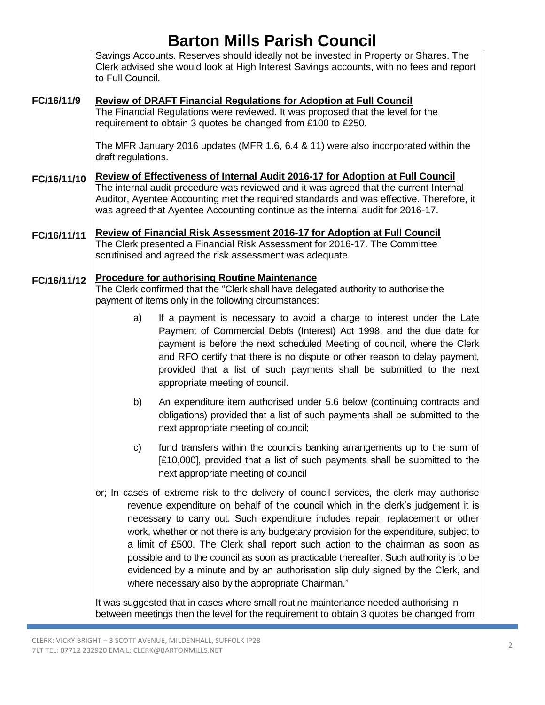### **Barton Mills Parish Council**

Savings Accounts. Reserves should ideally not be invested in Property or Shares. The Clerk advised she would look at High Interest Savings accounts, with no fees and report to Full Council.

### **FC/16/11/9 Review of DRAFT Financial Regulations for Adoption at Full Council** The Financial Regulations were reviewed. It was proposed that the level for the

requirement to obtain 3 quotes be changed from £100 to £250.

The MFR January 2016 updates (MFR 1.6, 6.4 & 11) were also incorporated within the draft regulations.

**FC/16/11/10 Review of Effectiveness of Internal Audit 2016-17 for Adoption at Full Council** The internal audit procedure was reviewed and it was agreed that the current Internal Auditor, Ayentee Accounting met the required standards and was effective. Therefore, it was agreed that Ayentee Accounting continue as the internal audit for 2016-17.

### **FC/16/11/11 Review of Financial Risk Assessment 2016-17 for Adoption at Full Council**

The Clerk presented a Financial Risk Assessment for 2016-17. The Committee scrutinised and agreed the risk assessment was adequate.

#### **FC/16/11/12 Procedure for authorising Routine Maintenance**

The Clerk confirmed that the "Clerk shall have delegated authority to authorise the payment of items only in the following circumstances:

- a) If a payment is necessary to avoid a charge to interest under the Late Payment of Commercial Debts (Interest) Act 1998, and the due date for payment is before the next scheduled Meeting of council, where the Clerk and RFO certify that there is no dispute or other reason to delay payment, provided that a list of such payments shall be submitted to the next appropriate meeting of council.
- b) An expenditure item authorised under 5.6 below (continuing contracts and obligations) provided that a list of such payments shall be submitted to the next appropriate meeting of council;
- c) fund transfers within the councils banking arrangements up to the sum of [£10,000], provided that a list of such payments shall be submitted to the next appropriate meeting of council
- or; In cases of extreme risk to the delivery of council services, the clerk may authorise revenue expenditure on behalf of the council which in the clerk's judgement it is necessary to carry out. Such expenditure includes repair, replacement or other work, whether or not there is any budgetary provision for the expenditure, subject to a limit of £500. The Clerk shall report such action to the chairman as soon as possible and to the council as soon as practicable thereafter. Such authority is to be evidenced by a minute and by an authorisation slip duly signed by the Clerk, and where necessary also by the appropriate Chairman."

It was suggested that in cases where small routine maintenance needed authorising in between meetings then the level for the requirement to obtain 3 quotes be changed from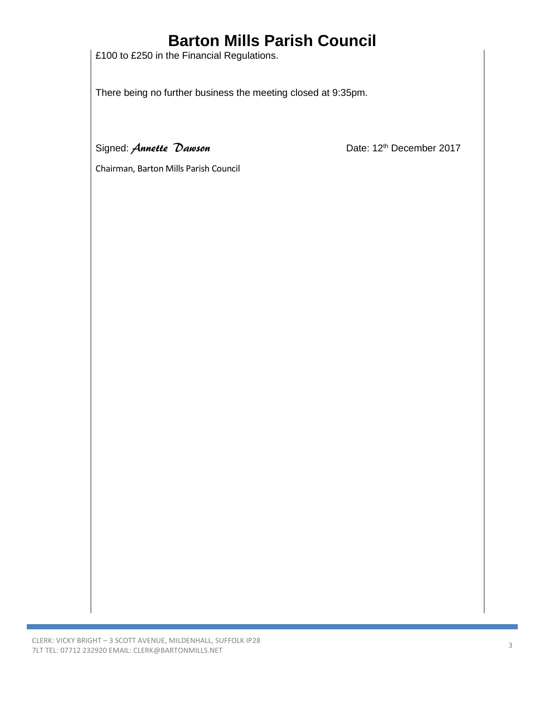## **Barton Mills Parish Council**

£100 to £250 in the Financial Regulations.

There being no further business the meeting closed at 9:35pm.

Signed: *Annette Dawson* Date: 12<sup>th</sup> December 2017

Chairman, Barton Mills Parish Council